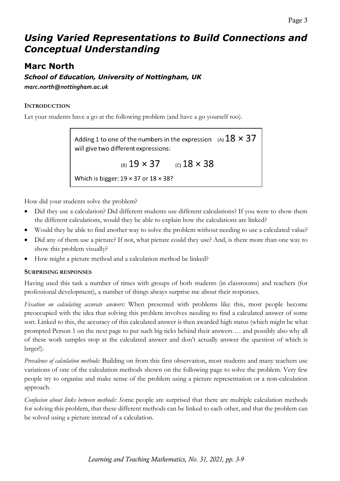# *Using Varied Representations to Build Connections and Conceptual Understanding*

# **Marc North**

*School of Education, University of Nottingham, UK marc.north@nottingham.ac.uk*

# **INTRODUCTION**

Let your students have a go at the following problem (and have a go yourself too).

Adding 1 to one of the numbers in the expression  $\alpha(A)$   $18 \times 37$ will give two different expressions:

(B)  $19 \times 37$  (c)  $18 \times 38$ 

Which is bigger:  $19 \times 37$  or  $18 \times 38$ ?

How did your students solve the problem?

- Did they use a calculation? Did different students use different calculations? If you were to show them the different calculations, would they be able to explain how the calculations are linked?
- Would they be able to find another way to solve the problem without needing to use a calculated value?
- Did any of them use a picture? If not, what picture could they use? And, is there more than one way to show this problem visually?
- How might a picture method and a calculation method be linked?

# **SURPRISING RESPONSES**

Having used this task a number of times with groups of both students (in classrooms) and teachers (for professional development), a number of things always surprise me about their responses.

*Fixation on calculating accurate answers:* When presented with problems like this, most people become preoccupied with the idea that solving this problem involves needing to find a calculated answer of some sort. Linked to this, the accuracy of this calculated answer is then awarded high status (which might be what prompted Person 1 on the next page to put such big ticks behind their answers … and possibly also why all of these work samples stop at the calculated answer and don't actually answer the question of which is larger!).

*Prevalence of calculation methods:* Building on from this first observation, most students and many teachers use variations of one of the calculation methods shown on the following page to solve the problem. Very few people try to organise and make sense of the problem using a picture representation or a non-calculation approach.

*Confusion about links between methods: S*ome people are surprised that there are multiple calculation methods for solving this problem, that these different methods can be linked to each other, and that the problem can be solved using a picture instead of a calculation.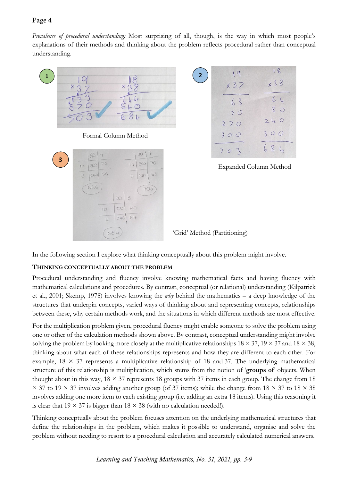Page 4

*Prevalence of procedural understanding:* Most surprising of all, though, is the way in which most people's explanations of their methods and thinking about the problem reflects procedural rather than conceptual understanding.





Expanded Column Method

'Grid' Method (Partitioning)

In the following section I explore what thinking conceptually about this problem might involve.

# **THINKING CONCEPTUALLY ABOUT THE PROBLEM**

Procedural understanding and fluency involve knowing mathematical facts and having fluency with mathematical calculations and procedures. By contrast, conceptual (or relational) understanding (Kilpatrick et al., 2001; Skemp, 1978) involves knowing the *why* behind the mathematics – a deep knowledge of the structures that underpin concepts, varied ways of thinking about and representing concepts, relationships between these, why certain methods work, and the situations in which different methods are most effective.

For the multiplication problem given, procedural fluency might enable someone to solve the problem using one or other of the calculation methods shown above. By contrast, conceptual understanding might involve solving the problem by looking more closely at the multiplicative relationships  $18 \times 37$ ,  $19 \times 37$  and  $18 \times 38$ , thinking about what each of these relationships represents and how they are different to each other. For example,  $18 \times 37$  represents a multiplicative relationship of 18 and 37. The underlying mathematical structure of this relationship is multiplication, which stems from the notion of '**groups of**' objects. When thought about in this way,  $18 \times 37$  represents 18 groups with 37 items in each group. The change from 18  $\times$  37 to 19  $\times$  37 involves adding another group (of 37 items); while the change from 18  $\times$  37 to 18  $\times$  38 involves adding one more item to each existing group (i.e. adding an extra 18 items). Using this reasoning it is clear that  $19 \times 37$  is bigger than  $18 \times 38$  (with no calculation needed!).

Thinking conceptually about the problem focuses attention on the underlying mathematical structures that define the relationships in the problem, which makes it possible to understand, organise and solve the problem without needing to resort to a procedural calculation and accurately calculated numerical answers.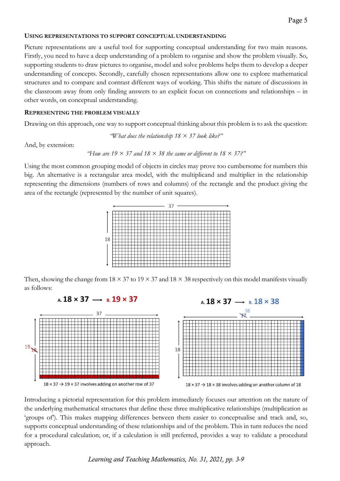#### **USING REPRESENTATIONS TO SUPPORT CONCEPTUAL UNDERSTANDING**

Picture representations are a useful tool for supporting conceptual understanding for two main reasons. Firstly, you need to have a deep understanding of a problem to organise and show the problem visually. So, supporting students to draw pictures to organise, model and solve problems helps them to develop a deeper understanding of concepts. Secondly, carefully chosen representations allow one to explore mathematical structures and to compare and contrast different ways of working. This shifts the nature of discussions in the classroom away from only finding answers to an explicit focus on connections and relationships – in other words, on conceptual understanding.

#### **REPRESENTING THE PROBLEM VISUALLY**

Drawing on this approach, one way to support conceptual thinking about this problem is to ask the question:

*"What does the relationship 18 × 37 look like?"*

And, by extension:

"How are 19 
$$
\times
$$
 37 and 18  $\times$  38 the same or different to 18  $\times$  37?"

Using the most common grouping model of objects in circles may prove too cumbersome for numbers this big. An alternative is a rectangular area model, with the multiplicand and multiplier in the relationship representing the dimensions (numbers of rows and columns) of the rectangle and the product giving the area of the rectangle (represented by the number of unit squares).



Then, showing the change from  $18 \times 37$  to  $19 \times 37$  and  $18 \times 38$  respectively on this model manifests visually as follows:



Introducing a pictorial representation for this problem immediately focuses our attention on the nature of the underlying mathematical structures that define these three multiplicative relationships (multiplication as 'groups of'). This makes mapping differences between them easier to conceptualise and track and, so, supports conceptual understanding of these relationships and of the problem. This in turn reduces the need for a procedural calculation; or, if a calculation is still preferred, provides a way to validate a procedural approach.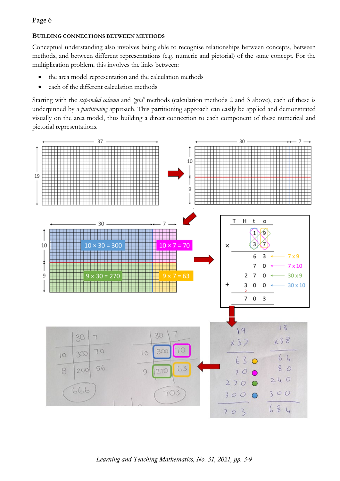## Page 6

## **BUILDING CONNECTIONS BETWEEN METHODS**

Conceptual understanding also involves being able to recognise relationships between concepts, between methods, and between different representations (e.g. numeric and pictorial) of the same concept. For the multiplication problem, this involves the links between:

- the area model representation and the calculation methods
- each of the different calculation methods

Starting with the *expanded column* and *'grid'* methods (calculation methods 2 and 3 above), each of these is underpinned by a *partitioning* approach. This partitioning approach can easily be applied and demonstrated visually on the area model, thus building a direct connection to each component of these numerical and pictorial representations.

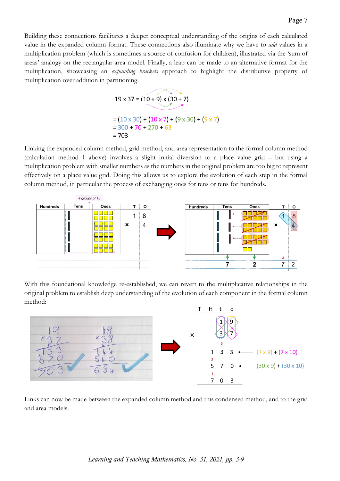Building these connections facilitates a deeper conceptual understanding of the origins of each calculated value in the expanded column format. These connections also illuminate why we have to *add* values in a multiplication problem (which is sometimes a source of confusion for children), illustrated via the 'sum of areas' analogy on the rectangular area model. Finally, a leap can be made to an alternative format for the multiplication, showcasing an *expanding brackets* approach to highlight the distributive property of multiplication over addition in partitioning.

$$
19 \times 37 = (10 + 9) \times (30 + 7)
$$
  
= (10 x 30) + (10 x 7) + (9 x 30) + (9 x 7)  
= 300 + 70 + 270 + 63  
= 703

Linking the expanded column method, grid method, and area representation to the formal column method (calculation method 1 above) involves a slight initial diversion to a place value grid – but using a multiplication problem with smaller numbers as the numbers in the original problem are too big to represent effectively on a place value grid. Doing this allows us to explore the evolution of each step in the formal column method, in particular the process of exchanging ones for tens or tens for hundreds.



With this foundational knowledge re-established, we can revert to the multiplicative relationships in the original problem to establish deep understanding of the evolution of each component in the formal column method:



Links can now be made between the expanded column method and this condensed method, and to the grid and area models.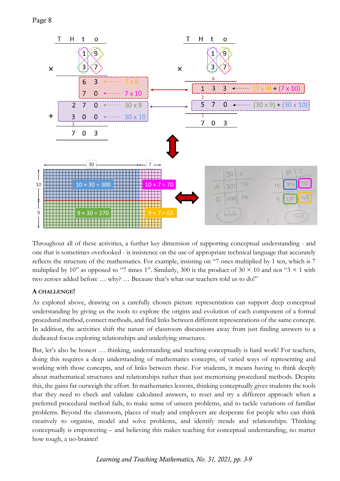

Throughout all of these activities, a further key dimension of supporting conceptual understanding - and one that is sometimes overlooked - is insistence on the use of appropriate technical language that accurately reflects the structure of the mathematics. For example, insisting on "7 ones multiplied by 1 ten, which is 7 multiplied by 10" as opposed to "7 times 1". Similarly, 300 is the product of 30  $\times$  10 and not "3  $\times$  1 with two zeroes added before … why? … Because that's what our teachers told us to do!"

## **A CHALLENGE!**

As explored above, drawing on a carefully chosen picture representation can support deep conceptual understanding by giving us the tools to explore the origins and evolution of each component of a formal procedural method, connect methods, and find links between different representations of the same concept. In addition, the activities shift the nature of classroom discussions away from just finding answers to a dedicated focus exploring relationships and underlying structures.

But, let's also be honest … thinking, understanding and teaching conceptually is hard work! For teachers, doing this requires a deep understanding of mathematics concepts, of varied ways of representing and working with those concepts, and of links between these. For students, it means having to think deeply about mathematical structures and relationships rather than just memorising procedural methods. Despite this, the gains far outweigh the effort. In mathematics lessons, thinking conceptually gives students the tools that they need to check and validate calculated answers, to reset and try a different approach when a preferred procedural method fails, to make sense of unseen problems, and to tackle variations of familiar problems. Beyond the classroom, places of study and employers are desperate for people who can think creatively to organise, model and solve problems, and identify trends and relationships. Thinking conceptually is empowering – and believing this makes teaching for conceptual understanding, no matter how tough, a no-brainer!